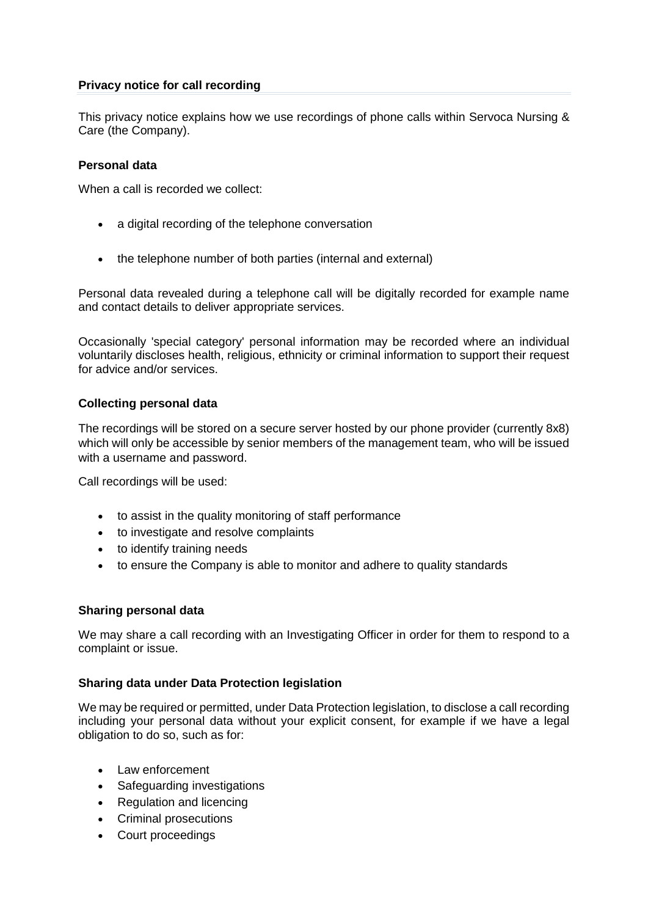## **Privacy notice for call recording**

This privacy notice explains how we use recordings of phone calls within Servoca Nursing & Care (the Company).

## **Personal data**

When a call is recorded we collect:

- a digital recording of the telephone conversation
- the telephone number of both parties (internal and external)

Personal data revealed during a telephone call will be digitally recorded for example name and contact details to deliver appropriate services.

Occasionally 'special category' personal information may be recorded where an individual voluntarily discloses health, religious, ethnicity or criminal information to support their request for advice and/or services.

# **Collecting personal data**

The recordings will be stored on a secure server hosted by our phone provider (currently 8x8) which will only be accessible by senior members of the management team, who will be issued with a username and password.

Call recordings will be used:

- to assist in the quality monitoring of staff performance
- to investigate and resolve complaints
- to identify training needs
- to ensure the Company is able to monitor and adhere to quality standards

### **Sharing personal data**

We may share a call recording with an Investigating Officer in order for them to respond to a complaint or issue.

### **Sharing data under Data Protection legislation**

We may be required or permitted, under Data Protection legislation, to disclose a call recording including your personal data without your explicit consent, for example if we have a legal obligation to do so, such as for:

- Law enforcement
- Safeguarding investigations
- Regulation and licencing
- Criminal prosecutions
- Court proceedings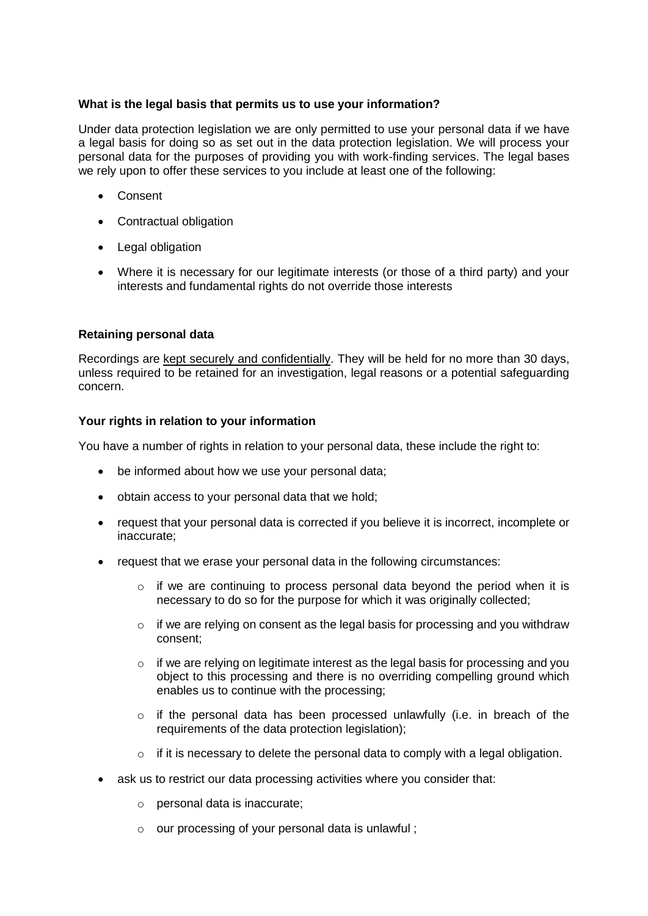## **What is the legal basis that permits us to use your information?**

Under data protection legislation we are only permitted to use your personal data if we have a legal basis for doing so as set out in the data protection legislation. We will process your personal data for the purposes of providing you with work-finding services. The legal bases we rely upon to offer these services to you include at least one of the following:

- Consent
- Contractual obligation
- Legal obligation
- Where it is necessary for our legitimate interests (or those of a third party) and your interests and fundamental rights do not override those interests

### **Retaining personal data**

Recordings are [kept securely and confidentially.](https://www.waverley.gov.uk/info/200303/legal_notices/570/privacy_notice_and_data_protection#shareinfo) They will be held for no more than 30 days, unless required to be retained for an investigation, legal reasons or a potential safeguarding concern.

### **Your rights in relation to your information**

You have a number of rights in relation to your personal data, these include the right to:

- be informed about how we use your personal data;
- obtain access to your personal data that we hold;
- request that your personal data is corrected if you believe it is incorrect, incomplete or inaccurate;
- request that we erase your personal data in the following circumstances:
	- o if we are continuing to process personal data beyond the period when it is necessary to do so for the purpose for which it was originally collected;
	- o if we are relying on consent as the legal basis for processing and you withdraw consent;
	- $\circ$  if we are relying on legitimate interest as the legal basis for processing and you object to this processing and there is no overriding compelling ground which enables us to continue with the processing;
	- o if the personal data has been processed unlawfully (i.e. in breach of the requirements of the data protection legislation);
	- $\circ$  if it is necessary to delete the personal data to comply with a legal obligation.
- ask us to restrict our data processing activities where you consider that:
	- o personal data is inaccurate;
	- o our processing of your personal data is unlawful ;